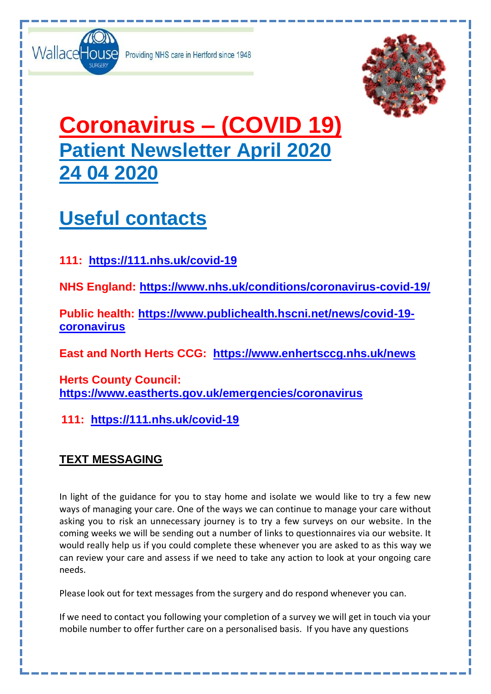

Providing NHS care in Hertford since 1948



# **Coronavirus – (COVID 19) Patient Newsletter April 2020 24 04 2020**

## **Useful contacts**

**111: <https://111.nhs.uk/covid-19>**

**NHS England:<https://www.nhs.uk/conditions/coronavirus-covid-19/>**

**Public health: [https://www.publichealth.hscni.net/news/covid-19](https://www.publichealth.hscni.net/news/covid-19-coronavirus) [coronavirus](https://www.publichealth.hscni.net/news/covid-19-coronavirus)**

**East and North Herts CCG: <https://www.enhertsccg.nhs.uk/news>**

**Herts County Council: <https://www.eastherts.gov.uk/emergencies/coronavirus>**

**111: <https://111.nhs.uk/covid-19>**

## **TEXT MESSAGING**

In light of the guidance for you to stay home and isolate we would like to try a few new ways of managing your care. One of the ways we can continue to manage your care without asking you to risk an unnecessary journey is to try a few surveys on our website. In the coming weeks we will be sending out a number of links to questionnaires via our website. It would really help us if you could complete these whenever you are asked to as this way we can review your care and assess if we need to take any action to look at your ongoing care needs.

Please look out for text messages from the surgery and do respond whenever you can.

If we need to contact you following your completion of a survey we will get in touch via your mobile number to offer further care on a personalised basis. If you have any questions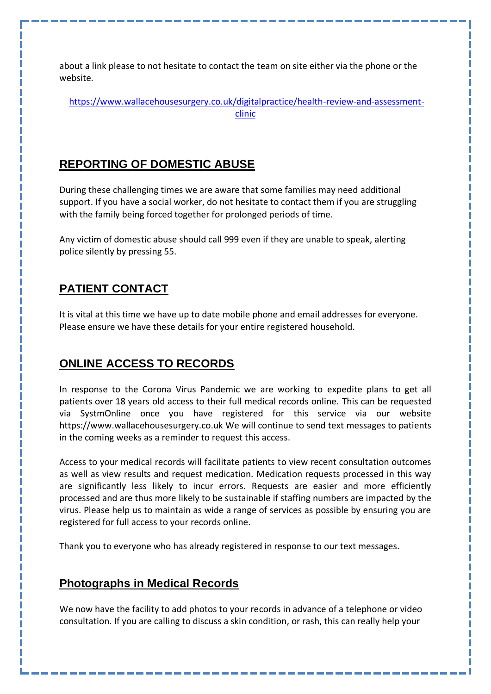about a link please to not hesitate to contact the team on site either via the phone or the website.

[https://www.wallacehousesurgery.co.uk/digitalpractice/health-review-and-assessment](https://www.wallacehousesurgery.co.uk/digitalpractice/health-review-and-assessment-clinic)[clinic](https://www.wallacehousesurgery.co.uk/digitalpractice/health-review-and-assessment-clinic)

### **REPORTING OF DOMESTIC ABUSE**

During these challenging times we are aware that some families may need additional support. If you have a social worker, do not hesitate to contact them if you are struggling with the family being forced together for prolonged periods of time.

Any victim of domestic abuse should call 999 even if they are unable to speak, alerting police silently by pressing 55.

## **PATIENT CONTACT**

It is vital at this time we have up to date mobile phone and email addresses for everyone. Please ensure we have these details for your entire registered household.

### **ONLINE ACCESS TO RECORDS**

In response to the Corona Virus Pandemic we are working to expedite plans to get all patients over 18 years old access to their full medical records online. This can be requested via SystmOnline once you have registered for this service via our website [https://www.wallacehousesurgery.co.uk](https://www.wallacehousesurgery.co.uk/) We will continue to send text messages to patients in the coming weeks as a reminder to request this access.

Access to your medical records will facilitate patients to view recent consultation outcomes as well as view results and request medication. Medication requests processed in this way are significantly less likely to incur errors. Requests are easier and more efficiently processed and are thus more likely to be sustainable if staffing numbers are impacted by the virus. Please help us to maintain as wide a range of services as possible by ensuring you are registered for full access to your records online.

Thank you to everyone who has already registered in response to our text messages.

#### **Photographs in Medical Records**

We now have the facility to add photos to your records in advance of a telephone or video consultation. If you are calling to discuss a skin condition, or rash, this can really help your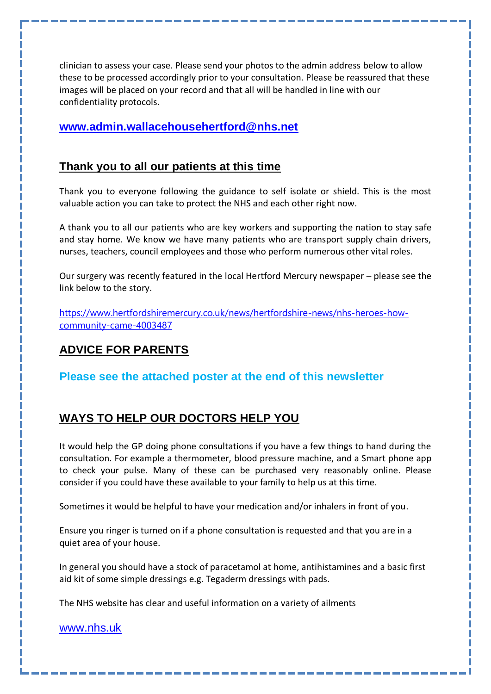clinician to assess your case. Please send your photos to the admin address below to allow these to be processed accordingly prior to your consultation. Please be reassured that these images will be placed on your record and that all will be handled in line with our confidentiality protocols.

#### **[www.admin.wallacehousehertford@nhs.net](http://www.admin.wallacehousehertford@nhs.net)**

#### **Thank you to all our patients at this time**

Thank you to everyone following the guidance to self isolate or shield. This is the most valuable action you can take to protect the NHS and each other right now.

A thank you to all our patients who are key workers and supporting the nation to stay safe and stay home. We know we have many patients who are transport supply chain drivers, nurses, teachers, council employees and those who perform numerous other vital roles.

Our surgery was recently featured in the local Hertford Mercury newspaper – please see the link below to the story.

[https://www.hertfordshiremercury.co.uk/news/hertfordshire-news/nhs-heroes-how](https://www.hertfordshiremercury.co.uk/news/hertfordshire-news/nhs-heroes-how-community-came-4003487)[community-came-4003487](https://www.hertfordshiremercury.co.uk/news/hertfordshire-news/nhs-heroes-how-community-came-4003487)

## **ADVICE FOR PARENTS**

**Please see the attached poster at the end of this newsletter**

## **WAYS TO HELP OUR DOCTORS HELP YOU**

It would help the GP doing phone consultations if you have a few things to hand during the consultation. For example a thermometer, blood pressure machine, and a Smart phone app to check your pulse. Many of these can be purchased very reasonably online. Please consider if you could have these available to your family to help us at this time.

Sometimes it would be helpful to have your medication and/or inhalers in front of you.

Ensure you ringer is turned on if a phone consultation is requested and that you are in a quiet area of your house.

In general you should have a stock of paracetamol at home, antihistamines and a basic first aid kit of some simple dressings e.g. Tegaderm dressings with pads.

The NHS website has clear and useful information on a variety of ailments

[www.nhs.uk](http://www.nhs.uk/)